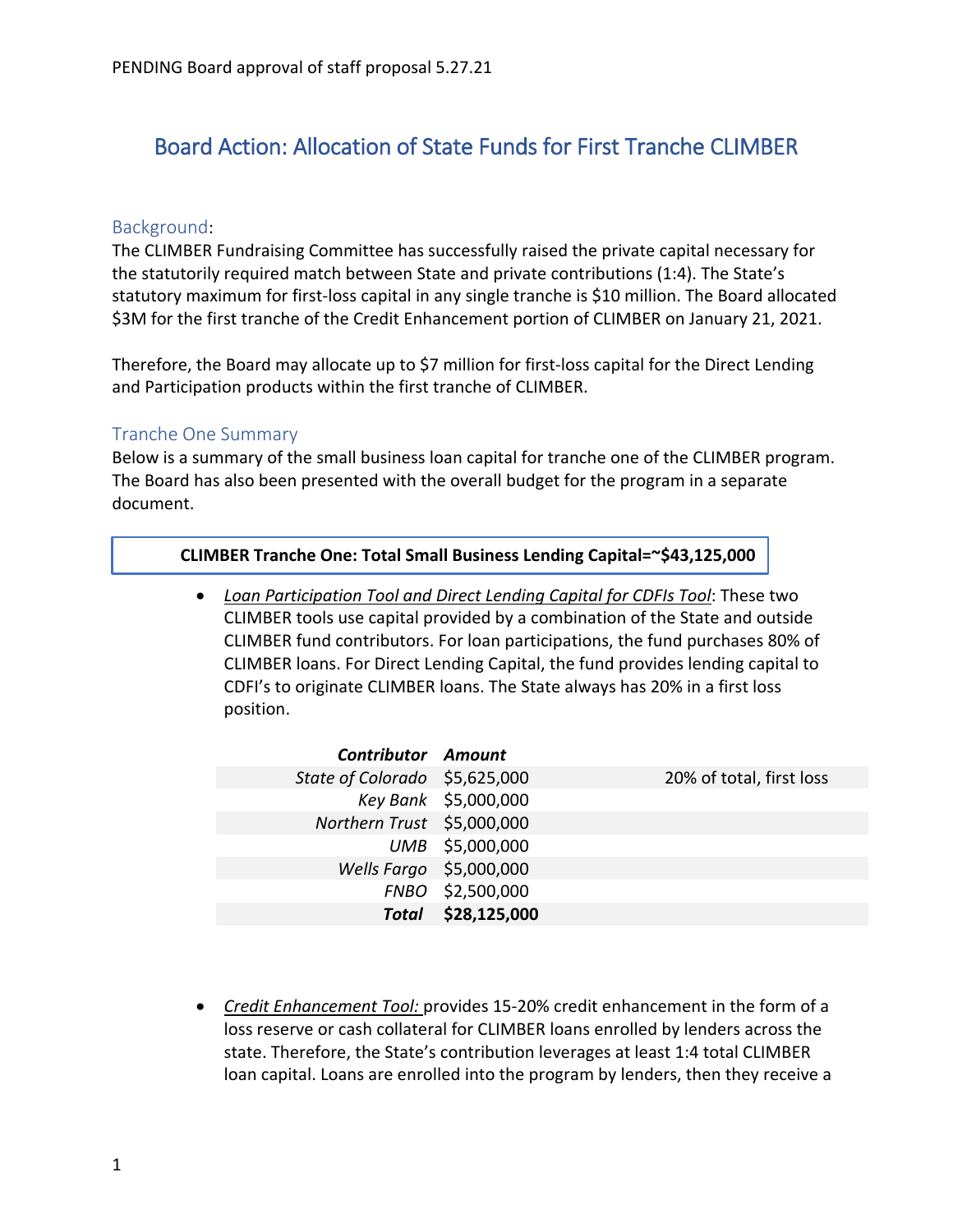# Board Action: Allocation of State Funds for First Tranche CLIMBER

### Background:

The CLIMBER Fundraising Committee has successfully raised the private capital necessary for the statutorily required match between State and private contributions (1:4). The State's statutory maximum for first-loss capital in any single tranche is \$10 million. The Board allocated \$3M for the first tranche of the Credit Enhancement portion of CLIMBER on January 21, 2021.

Therefore, the Board may allocate up to \$7 million for first-loss capital for the Direct Lending and Participation products within the first tranche of CLIMBER.

### Tranche One Summary

Below is a summary of the small business loan capital for tranche one of the CLIMBER program. The Board has also been presented with the overall budget for the program in a separate document.

#### **CLIMBER Tranche One: Total Small Business Lending Capital=~\$43,125,000**

• *Loan Participation Tool and Direct Lending Capital for CDFIs Tool*: These two CLIMBER tools use capital provided by a combination of the State and outside CLIMBER fund contributors. For loan participations, the fund purchases 80% of CLIMBER loans. For Direct Lending Capital, the fund provides lending capital to CDFI's to originate CLIMBER loans. The State always has 20% in a first loss position.

| 20% of total, first loss                                                                                                                                                                                 |
|----------------------------------------------------------------------------------------------------------------------------------------------------------------------------------------------------------|
|                                                                                                                                                                                                          |
|                                                                                                                                                                                                          |
|                                                                                                                                                                                                          |
|                                                                                                                                                                                                          |
|                                                                                                                                                                                                          |
|                                                                                                                                                                                                          |
| <b>Contributor Amount</b><br>State of Colorado \$5,625,000<br>Key Bank \$5,000,000<br>Northern Trust \$5,000,000<br>UMB \$5,000,000<br>Wells Fargo \$5,000,000<br>FNBO \$2,500,000<br>Total \$28,125,000 |

• *Credit Enhancement Tool:* provides 15-20% credit enhancement in the form of a loss reserve or cash collateral for CLIMBER loans enrolled by lenders across the state. Therefore, the State's contribution leverages at least 1:4 total CLIMBER loan capital. Loans are enrolled into the program by lenders, then they receive a